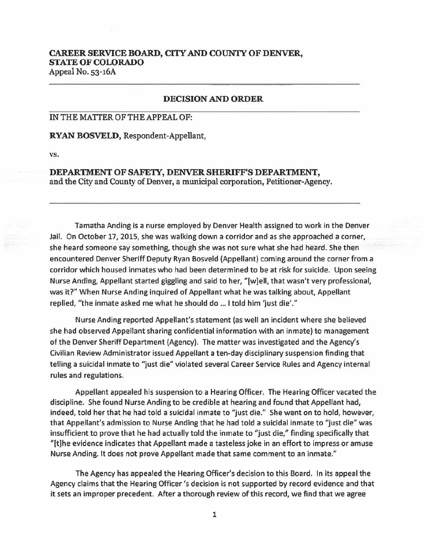# CAREER SERVICE BOARD, CITY AND COUNTY OF DENVER, **STATE OF COLORADO**  Appeal No. 53-16A

#### **DECISION AND ORDER**

# IN THE MATIER OF THE APPEAL OF:

**RYAN BOSVELD,** Respondent-Appellant,

vs.

# **DEPARTMENT OF SAFE1Y, DENVER SHERIFF'S DEPARTMENT,**  and the City and County of Denver, a municipal corporation, Petitioner-Agency.

Tamatha Anding is a nurse employed by Denver Health assigned to work in the Denver Jail. On October 17, 2015, she was walking down a corridor and as she approached a corner, she heard someone say something, though she was not sure what she had heard. She then encountered Denver Sheriff Deputy Ryan Bosveld (Appellant) coming around the corner from a corridor which housed inmates who had been determined to be at risk for suicide. Upon seeing Nurse Anding, Appellant started giggling and said to her, "[w]ell, that wasn't very professional, was it?" When Nurse Anding inquired of Appellant what he was talking about, Appellant replied, "the inmate asked me what he should do ... I told him 'just die'."

Nurse Anding reported Appellant's statement (as well an incident where she believed she had observed Appellant sharing confidential information with an inmate) to management of the Denver Sheriff Department (Agency). The matter was investigated and the Agency's Civilian Review Administrator issued Appellant a ten-day disciplinary suspension finding **that**  telling a suicidal inmate to "just die" violated several Career Service Rules and Agency internal rules and regulations.

Appellant appealed his suspension to a Hearing Officer. The Hearing Officer vacated the discipline. She found Nurse Anding to be credible at hearing and found that Appellant had, indeed, told her that he had told a suicidal inmate to "just die." She went on to hold, however, that Appellant's admission to Nurse Anding that he had told a suicidal inmate to "just die" was insufficient to prove that he had actually told the inmate to "just die," finding specifically that "[t]he evidence indicates that Appellant made a tasteless joke in an effort to impress or amuse Nurse Anding. It does not prove Appellant made that same comment to an inmate."

The Agency has appealed the Hearing Officer's decision to this Board. In its appeal the Agency claims that the Hearing Officer's decision is not supported by record evidence and that it sets an improper precedent. After a thorough review of this record, we find that we agree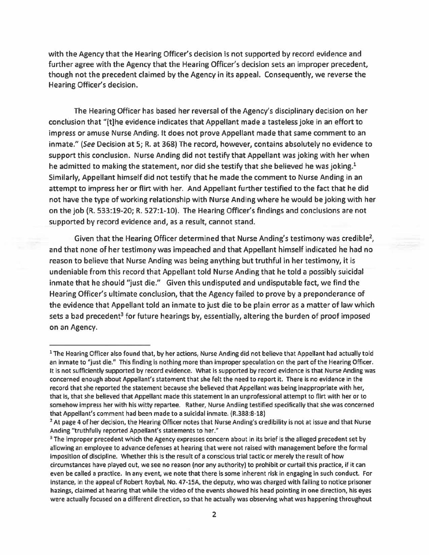with the Agency that the Hearing Officer's decision is not supported by record evidence and further agree with the Agency that the Hearing Officer's decision sets an improper precedent, though not the precedent claimed by the Agency in its appeal. Consequently, we reverse the Hearing Officer's decision.

The Hearing Officer has based her reversal of the Agency's disciplinary decision on her conclusion that "{t]he evidence indicates that Appellant made a tasteless joke in an effort to impress or amuse Nurse Anding. It does not prove Appellant made that same comment to an inmate." (See Decision at 5; R. at 368) The record, however, contains absolutely no evidence to support this conclusion. Nurse Anding did not testify that Appellant was joking with her when he admitted to making the statement, nor did she testify that she believed he was joking.<sup>1</sup> Similarly, Appellant himself did not testify that he made the comment to Nurse Anding in an attempt to impress her or flirt with her. And Appellant further testified to the fact that he did not have the type of working relationship with Nurse Anding where he would be joking with her on the job (R. 533:19-20; R. 527:1-10). The Hearing Officer's findings and conclusions are not supported by record evidence and, as a result, cannot stand.

Given that the Hearing Officer determined that Nurse Anding's testimony was credible<sup>2</sup>, and that none of her testimony was impeached and that Appellant himself indicated he had no reason to believe that Nurse Anding was being anything but truthful in her testimony, it is undeniable from this record that Appellant told Nurse Anding that he told a possibly suicidal inmate that he should "just die." Given this undisputed and undisputable fact, we find the Hearing Officer's ultimate conclusion, that the Agency failed to prove by a preponderance of the evidence that Appellant told an inmate to just die to be plain error as a matter of law which sets a bad precedent<sup>3</sup> for future hearings by, essentially, altering the burden of proof imposed on an Agency.

<sup>&</sup>lt;sup>1</sup> The Hearing Officer also found that, by her actions, Nurse Anding did not believe that Appellant had actually told an inmate to "just die." This finding is nothing more than improper speculation on the part of the Hearing Officer. It is not sufficiently supported by record evidence. What is supported by record evidence is that Nurse Anding was concerned enough about Appellant's statement that she felt the need to report it. There is no evidence in the record that she reported the statement because she believed that Appellant was being inappropriate with her, that is, that she believed that Appellant made this statement in an unprofessional attempt to flirt with her or to somehow impress her with his witty repartee. Rather, Nurse Andiing testified specifically that she was concerned that Appellant's comment had been made to a suicidal inmate. (R.388:8-18)<br><sup>2</sup> At page 4 of her decision, the Hearing Officer notes that Nurse Anding's credibility is not at issue and that Nurse

Anding "truthfully reported Appellant's statements to her."

<sup>&</sup>lt;sup>3</sup> The improper precedent which the Agency expresses concern about in its brief is the alleged precedent set by allowing an employee to advance defenses at hearing that were not raised with management before the formal imposition of discipline. Whether this is the result of a conscious trial tactic or merely the result of how circumstances have played out, we see no reason (nor any authority) to prohibit or curtail this practice, if it can even be called a practice. In any event, we note that there is some inherent risk in engaging in such conduct. For instance, in the appeal of Robert Roybal, No. 47-lSA, the deputy, who was charged with failing to notice prisoner hazings, claimed at hearing that while the video of the events showed his head pointing in one direction, his eyes were actually focused on a different direction, so that he actually was observing what was happening throughout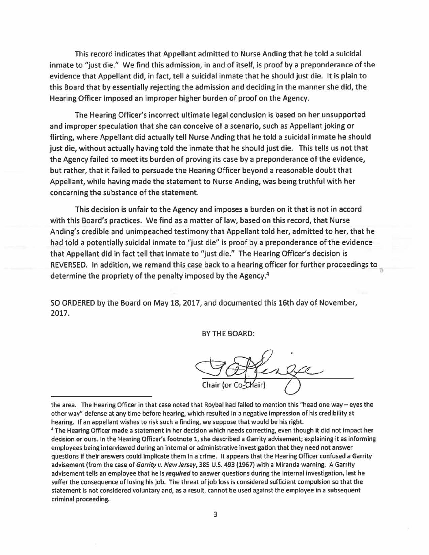This record indicates that Appellant admitted to Nurse Anding that he told a suicidal inmate to "just die." We find this admission, in and of itself, is proof by a preponderance of the evidence that Appellant did, in fact, tell a suicidal inmate that he should just die. It is plain to this Board that by essentially rejecting the admission and deciding in the manner she did, the Hearing Officer imposed an improper higher burden of proof on the Agency.

The Hearing Officer's incorrect ultimate legal conclusion is based on her unsupported and improper speculation that she can conceive of a scenario, such as Appellant joking or flirting, where Appellant did actually tell Nurse Anding that he told a suicidal inmate he should just die, without actually having told the inmate that he should just die. This tells us not that the Agency failed to meet its burden of proving its case by a preponderance of the evidence, but rather, that it failed to persuade the Hearing Officer beyond a reasonable doubt that Appellant, while having made the statement to Nurse Anding, was being truthful with her concerning the substance of the statement.

This decision is unfair to the Agency and imposes a burden on it that is not in accord with this Board's practices. We find as a matter of law, based on this record, that Nurse Anding's credible and unimpeached testimony that Appellant told her, admitted to her, that he had told a potentially suicidal inmate to "just die" is proof by a preponderance of the evidence that Appellant did in fact tell that inmate to "just die." The Hearing Officer's decision is REVERSED. In addition, we remand this case back to a hearing officer for further proceedings to determine the propriety of the penalty imposed by the Agency. 4

SO ORDERED by the Board on May 18, 2017, and documented this 16th day of November, 2017.

BY THE BOARD:

the area. The Hearing Officer in that case noted that Roybal had failed to mention this "head one way - eyes the other way" defense at any time before hearing, which resulted in a negative impression of his credibility at

hearing. If an appellant wishes to risk such a finding, we suppose that would be his right.<br><sup>4</sup> The Hearing Officer made a statement in her decision which needs correcting, even though it did not impact her decision or ours. In the Hearing Officer's footnote 1, she described a Garrity advisement; explaining it as informing employees being interviewed during an internal or administrative investigation that they need not answer questions if their answers could implicate them in a crime. It appears that the Hearing Officer confused a Garrity advisement (from the case of Garrity v. New Jersey, 385 U.S. 493 (1967) with a Miranda warning. A Garrity advisement tells an employee that he is *required* to answer questions during the internal investigation, lest he suffer the consequence of losing his job. The threat of job loss is considered sufficient compulsion so that the statement is not considered voluntary and, as a result, cannot be used against the employee in a subsequent criminal proceeding.